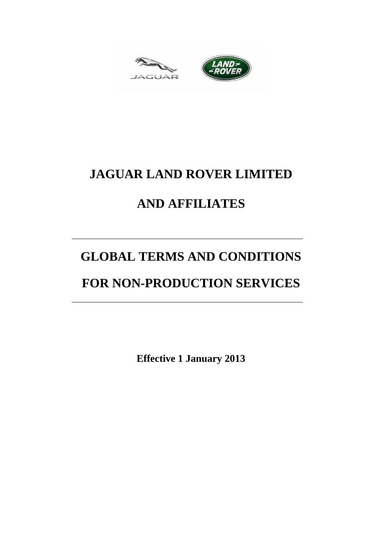



# **JAGUAR LAND ROVER LIMITED**

## **AND AFFILIATES**

# **GLOBAL TERMS AND CONDITIONS**

## **FOR NON-PRODUCTION SERVICES**

**Effective 1 January 2013**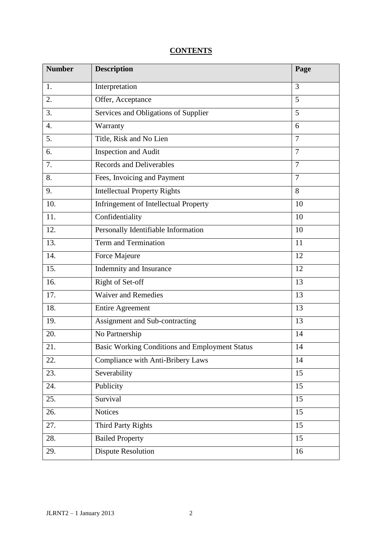### **CONTENTS**

| <b>Number</b>    | <b>Description</b>                                    | Page           |
|------------------|-------------------------------------------------------|----------------|
| 1.               | Interpretation                                        | 3              |
| 2.               | Offer, Acceptance                                     | 5              |
| 3.               | Services and Obligations of Supplier                  | $\overline{5}$ |
| $\overline{4}$ . | Warranty                                              | 6              |
| 5.               | Title, Risk and No Lien                               | $\overline{7}$ |
| 6.               | Inspection and Audit                                  | $\overline{7}$ |
| 7.               | <b>Records and Deliverables</b>                       | $\overline{7}$ |
| 8.               | Fees, Invoicing and Payment                           | $\overline{7}$ |
| 9.               | <b>Intellectual Property Rights</b>                   | 8              |
| 10.              | Infringement of Intellectual Property                 | 10             |
| 11.              | Confidentiality                                       | 10             |
| 12.              | Personally Identifiable Information                   | 10             |
| 13.              | Term and Termination                                  | 11             |
| 14.              | Force Majeure                                         | 12             |
| 15.              | Indemnity and Insurance                               | 12             |
| 16.              | Right of Set-off                                      | 13             |
| 17.              | <b>Waiver and Remedies</b>                            | 13             |
| 18.              | <b>Entire Agreement</b>                               | 13             |
| 19.              | Assignment and Sub-contracting                        | 13             |
| 20.              | No Partnership                                        | 14             |
| 21.              | <b>Basic Working Conditions and Employment Status</b> | 14             |
| 22.              | Compliance with Anti-Bribery Laws                     | 14             |
| 23.              | Severability                                          | 15             |
| 24.              | Publicity                                             | 15             |
| 25.              | Survival                                              | 15             |
| 26.              | <b>Notices</b>                                        | 15             |
| 27.              | Third Party Rights                                    | 15             |
| 28.              | <b>Bailed Property</b>                                | 15             |
| 29.              | <b>Dispute Resolution</b>                             | 16             |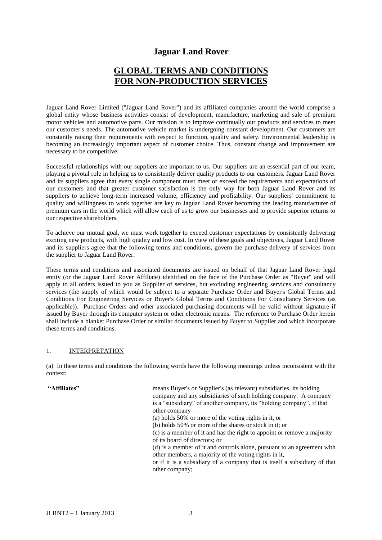### **Jaguar Land Rover**

## **GLOBAL TERMS AND CONDITIONS FOR NON-PRODUCTION SERVICES**

Jaguar Land Rover Limited ("Jaguar Land Rover") and its affiliated companies around the world comprise a global entity whose business activities consist of development, manufacture, marketing and sale of premium motor vehicles and automotive parts. Our mission is to improve continually our products and services to meet our customer's needs. The automotive vehicle market is undergoing constant development. Our customers are constantly raising their requirements with respect to function, quality and safety. Environmental leadership is becoming an increasingly important aspect of customer choice. Thus, constant change and improvement are necessary to be competitive.

Successful relationships with our suppliers are important to us. Our suppliers are an essential part of our team, playing a pivotal role in helping us to consistently deliver quality products to our customers. Jaguar Land Rover and its suppliers agree that every single component must meet or exceed the requirements and expectations of our customers and that greater customer satisfaction is the only way for both Jaguar Land Rover and its suppliers to achieve long-term increased volume, efficiency and profitability. Our suppliers' commitment to quality and willingness to work together are key to Jaguar Land Rover becoming the leading manufacturer of premium cars in the world which will allow each of us to grow our businesses and to provide superior returns to our respective shareholders.

To achieve our mutual goal, we must work together to exceed customer expectations by consistently delivering exciting new products, with high quality and low cost. In view of these goals and objectives, Jaguar Land Rover and its suppliers agree that the following terms and conditions, govern the purchase delivery of services from the supplier to Jaguar Land Rover.

These terms and conditions and associated documents are issued on behalf of that Jaguar Land Rover legal entity (or the Jaguar Land Rover Affiliate) identified on the face of the Purchase Order as "Buyer" and will apply to all orders issued to you as Supplier of services, but excluding engineering services and consultancy services (the supply of which would be subject to a separate Purchase Order and Buyer's Global Terms and Conditions For Engineering Services or Buyer's Global Terms and Conditions For Consultancy Services (as applicable)). Purchase Orders and other associated purchasing documents will be valid without signature if issued by Buyer through its computer system or other electronic means. The reference to Purchase Order herein shall include a blanket Purchase Order or similar documents issued by Buyer to Supplier and which incorporate these terms and conditions.

#### 1. INTERPRETATION

(a) In these terms and conditions the following words have the following meanings unless inconsistent with the context:

| "Affiliates" |  |
|--------------|--|
|--------------|--|

| "Affiliates" | means Buyer's or Supplier's (as relevant) subsidiaries, its holding       |
|--------------|---------------------------------------------------------------------------|
|              | company and any subsidiaries of such holding company. A company           |
|              |                                                                           |
|              | is a "subsidiary" of another company, its "holding company", if that      |
|              | other company—                                                            |
|              | (a) holds 50% or more of the voting rights in it, or                      |
|              | (b) holds 50% or more of the shares or stock in it; or                    |
|              | (c) is a member of it and has the right to appoint or remove a majority   |
|              | of its board of directors; or                                             |
|              | (d) is a member of it and controls alone, pursuant to an agreement with   |
|              | other members, a majority of the voting rights in it,                     |
|              | or if it is a subsidiary of a company that is itself a subsidiary of that |
|              | other company;                                                            |
|              |                                                                           |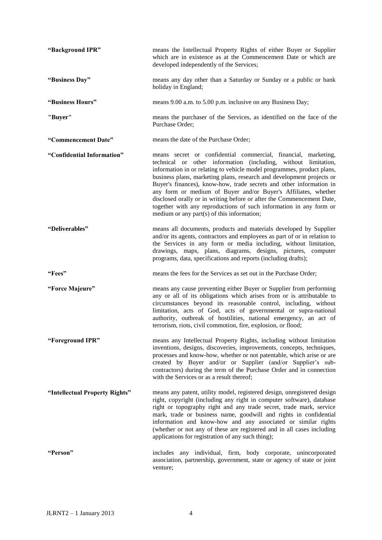| "Background IPR"               | means the Intellectual Property Rights of either Buyer or Supplier<br>which are in existence as at the Commencement Date or which are<br>developed independently of the Services;                                                                                                                                                                                                                                                                                                                                                                                                                                         |
|--------------------------------|---------------------------------------------------------------------------------------------------------------------------------------------------------------------------------------------------------------------------------------------------------------------------------------------------------------------------------------------------------------------------------------------------------------------------------------------------------------------------------------------------------------------------------------------------------------------------------------------------------------------------|
| "Business Day"                 | means any day other than a Saturday or Sunday or a public or bank<br>holiday in England;                                                                                                                                                                                                                                                                                                                                                                                                                                                                                                                                  |
| "Business Hours"               | means 9.00 a.m. to 5.00 p.m. inclusive on any Business Day;                                                                                                                                                                                                                                                                                                                                                                                                                                                                                                                                                               |
| "Buyer"                        | means the purchaser of the Services, as identified on the face of the<br>Purchase Order;                                                                                                                                                                                                                                                                                                                                                                                                                                                                                                                                  |
| "Commencement Date"            | means the date of the Purchase Order;                                                                                                                                                                                                                                                                                                                                                                                                                                                                                                                                                                                     |
| "Confidential Information"     | means secret or confidential commercial, financial, marketing,<br>technical or other information (including, without limitation,<br>information in or relating to vehicle model programmes, product plans,<br>business plans, marketing plans, research and development projects or<br>Buyer's finances), know-how, trade secrets and other information in<br>any form or medium of Buyer and/or Buyer's Affiliates, whether<br>disclosed orally or in writing before or after the Commencement Date,<br>together with any reproductions of such information in any form or<br>medium or any part(s) of this information; |
| "Deliverables"                 | means all documents, products and materials developed by Supplier<br>and/or its agents, contractors and employees as part of or in relation to<br>the Services in any form or media including, without limitation,<br>drawings, maps, plans, diagrams, designs, pictures, computer<br>programs, data, specifications and reports (including drafts);                                                                                                                                                                                                                                                                      |
| "Fees"                         | means the fees for the Services as set out in the Purchase Order;                                                                                                                                                                                                                                                                                                                                                                                                                                                                                                                                                         |
| "Force Majeure"                | means any cause preventing either Buyer or Supplier from performing<br>any or all of its obligations which arises from or is attributable to<br>circumstances beyond its reasonable control, including, without<br>limitation, acts of God, acts of governmental or supra-national<br>authority, outbreak of hostilities, national emergency, an act of<br>terrorism, riots, civil commotion, fire, explosion, or flood;                                                                                                                                                                                                  |
| "Foreground IPR"               | means any Intellectual Property Rights, including without limitation<br>inventions, designs, discoveries, improvements, concepts, techniques,<br>processes and know-how, whether or not patentable, which arise or are<br>created by Buyer and/or or Supplier (and/or Supplier's sub-<br>contractors) during the term of the Purchase Order and in connection<br>with the Services or as a result thereof;                                                                                                                                                                                                                |
| "Intellectual Property Rights" | means any patent, utility model, registered design, unregistered design<br>right, copyright (including any right in computer software), database<br>right or topography right and any trade secret, trade mark, service<br>mark, trade or business name, goodwill and rights in confidential<br>information and know-how and any associated or similar rights<br>(whether or not any of these are registered and in all cases including<br>applications for registration of any such thing);                                                                                                                              |
| "Person"                       | includes any individual, firm, body corporate, unincorporated<br>association, partnership, government, state or agency of state or joint<br>venture;                                                                                                                                                                                                                                                                                                                                                                                                                                                                      |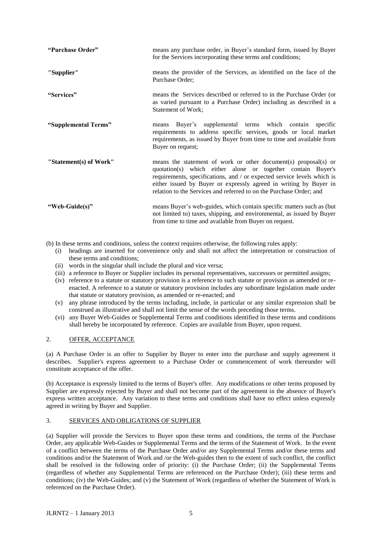| "Purchase Order"       | means any purchase order, in Buyer's standard form, issued by Buyer<br>for the Services incorporating these terms and conditions;                                                                                                                                                                                                                     |
|------------------------|-------------------------------------------------------------------------------------------------------------------------------------------------------------------------------------------------------------------------------------------------------------------------------------------------------------------------------------------------------|
| "Supplier"             | means the provider of the Services, as identified on the face of the<br>Purchase Order;                                                                                                                                                                                                                                                               |
| "Services"             | means the Services described or referred to in the Purchase Order (or<br>as varied pursuant to a Purchase Order) including as described in a<br>Statement of Work;                                                                                                                                                                                    |
| "Supplemental Terms"   | Buyer's supplemental terms which contain specific<br>means<br>requirements to address specific services, goods or local market<br>requirements, as issued by Buyer from time to time and available from<br>Buyer on request;                                                                                                                          |
| "Statement(s) of Work" | means the statement of work or other document(s) proposal(s) or<br>quotation(s) which either alone or together contain Buyer's<br>requirements, specifications, and / or expected service levels which is<br>either issued by Buyer or expressly agreed in writing by Buyer in<br>relation to the Services and referred to on the Purchase Order; and |
| "Web-Guide(s)"         | means Buyer's web-guides, which contain specific matters such as (but)<br>not limited to) taxes, shipping, and environmental, as issued by Buyer<br>from time to time and available from Buyer on request.                                                                                                                                            |

(b) In these terms and conditions, unless the context requires otherwise, the following rules apply:

- (i) headings are inserted for convenience only and shall not affect the interpretation or construction of these terms and conditions;
- (ii) words in the singular shall include the plural and vice versa;
- (iii) a reference to Buyer or Supplier includes its personal representatives, successors or permitted assigns;
- (iv) reference to a statute or statutory provision is a reference to such statute or provision as amended or reenacted. A reference to a statute or statutory provision includes any subordinate legislation made under that statute or statutory provision, as amended or re-enacted; and
- (v) any phrase introduced by the terms including, include, in particular or any similar expression shall be construed as illustrative and shall not limit the sense of the words preceding those terms.
- (vi) any Buyer Web-Guides or Supplemental Terms and conditions identified in these terms and conditions shall hereby be incorporated by reference. Copies are available from Buyer, upon request.

#### 2. OFFER, ACCEPTANCE

(a) A Purchase Order is an offer to Supplier by Buyer to enter into the purchase and supply agreement it describes. Supplier's express agreement to a Purchase Order or commencement of work thereunder will constitute acceptance of the offer.

(b) Acceptance is expressly limited to the terms of Buyer's offer. Any modifications or other terms proposed by Supplier are expressly rejected by Buyer and shall not become part of the agreement in the absence of Buyer's express written acceptance. Any variation to these terms and conditions shall have no effect unless expressly agreed in writing by Buyer and Supplier.

#### 3. SERVICES AND OBLIGATIONS OF SUPPLIER

(a) Supplier will provide the Services to Buyer upon these terms and conditions, the terms of the Purchase Order, any applicable Web-Guides or Supplemental Terms and the terms of the Statement of Work. In the event of a conflict between the terms of the Purchase Order and/or any Supplemental Terms and/or these terms and conditions and/or the Statement of Work and /or the Web-guides then to the extent of such conflict, the conflict shall be resolved in the following order of priority: (i) the Purchase Order; (ii) the Supplemental Terms (regardless of whether any Supplemental Terms are referenced on the Purchase Order); (iii) these terms and conditions; (iv) the Web-Guides; and (v) the Statement of Work (regardless of whether the Statement of Work is referenced on the Purchase Order).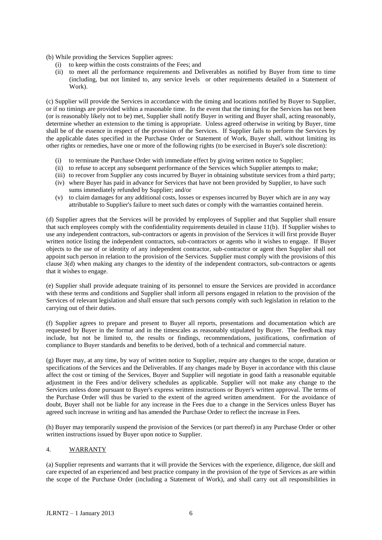(b) While providing the Services Supplier agrees:

- (i) to keep within the costs constraints of the Fees; and
- (ii) to meet all the performance requirements and Deliverables as notified by Buyer from time to time (including, but not limited to, any service levels or other requirements detailed in a Statement of Work).

(c) Supplier will provide the Services in accordance with the timing and locations notified by Buyer to Supplier, or if no timings are provided within a reasonable time. In the event that the timing for the Services has not been (or is reasonably likely not to be) met, Supplier shall notify Buyer in writing and Buyer shall, acting reasonably, determine whether an extension to the timing is appropriate. Unless agreed otherwise in writing by Buyer, time shall be of the essence in respect of the provision of the Services. If Supplier fails to perform the Services by the applicable dates specified in the Purchase Order or Statement of Work, Buyer shall, without limiting its other rights or remedies, have one or more of the following rights (to be exercised in Buyer's sole discretion):

- (i) to terminate the Purchase Order with immediate effect by giving written notice to Supplier;
- (ii) to refuse to accept any subsequent performance of the Services which Supplier attempts to make;
- (iii) to recover from Supplier any costs incurred by Buyer in obtaining substitute services from a third party;
- (iv) where Buyer has paid in advance for Services that have not been provided by Supplier, to have such sums immediately refunded by Supplier; and/or
- (v) to claim damages for any additional costs, losses or expenses incurred by Buyer which are in any way attributable to Supplier's failure to meet such dates or comply with the warranties contained herein.

(d) Supplier agrees that the Services will be provided by employees of Supplier and that Supplier shall ensure that such employees comply with the confidentiality requirements detailed in clause 11(b). If Supplier wishes to use any independent contractors, sub-contractors or agents in provision of the Services it will first provide Buyer written notice listing the independent contractors, sub-contractors or agents who it wishes to engage. If Buyer objects to the use of or identity of any independent contractor, sub-contractor or agent then Supplier shall not appoint such person in relation to the provision of the Services. Supplier must comply with the provisions of this clause 3(d) when making any changes to the identity of the independent contractors, sub-contractors or agents that it wishes to engage.

(e) Supplier shall provide adequate training of its personnel to ensure the Services are provided in accordance with these terms and conditions and Supplier shall inform all persons engaged in relation to the provision of the Services of relevant legislation and shall ensure that such persons comply with such legislation in relation to the carrying out of their duties.

(f) Supplier agrees to prepare and present to Buyer all reports, presentations and documentation which are requested by Buyer in the format and in the timescales as reasonably stipulated by Buyer. The feedback may include, but not be limited to, the results or findings, recommendations, justifications, confirmation of compliance to Buyer standards and benefits to be derived, both of a technical and commercial nature.

(g) Buyer may, at any time, by way of written notice to Supplier, require any changes to the scope, duration or specifications of the Services and the Deliverables. If any changes made by Buyer in accordance with this clause affect the cost or timing of the Services, Buyer and Supplier will negotiate in good faith a reasonable equitable adjustment in the Fees and/or delivery schedules as applicable. Supplier will not make any change to the Services unless done pursuant to Buyer's express written instructions or Buyer's written approval. The terms of the Purchase Order will thus be varied to the extent of the agreed written amendment. For the avoidance of doubt, Buyer shall not be liable for any increase in the Fees due to a change in the Services unless Buyer has agreed such increase in writing and has amended the Purchase Order to reflect the increase in Fees.

(h) Buyer may temporarily suspend the provision of the Services (or part thereof) in any Purchase Order or other written instructions issued by Buyer upon notice to Supplier.

#### 4. WARRANTY

(a) Supplier represents and warrants that it will provide the Services with the experience, diligence, due skill and care expected of an experienced and best practice company in the provision of the type of Services as are within the scope of the Purchase Order (including a Statement of Work), and shall carry out all responsibilities in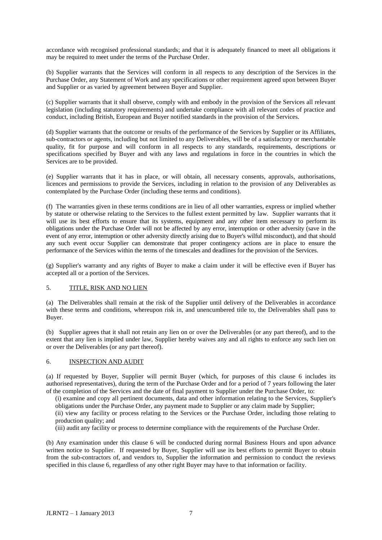accordance with recognised professional standards; and that it is adequately financed to meet all obligations it may be required to meet under the terms of the Purchase Order.

(b) Supplier warrants that the Services will conform in all respects to any description of the Services in the Purchase Order, any Statement of Work and any specifications or other requirement agreed upon between Buyer and Supplier or as varied by agreement between Buyer and Supplier.

(c) Supplier warrants that it shall observe, comply with and embody in the provision of the Services all relevant legislation (including statutory requirements) and undertake compliance with all relevant codes of practice and conduct, including British, European and Buyer notified standards in the provision of the Services*.*

(d) Supplier warrants that the outcome or results of the performance of the Services by Supplier or its Affiliates, sub-contractors or agents, including but not limited to any Deliverables, will be of a satisfactory or merchantable quality, fit for purpose and will conform in all respects to any standards, requirements, descriptions or specifications specified by Buyer and with any laws and regulations in force in the countries in which the Services are to be provided.

(e) Supplier warrants that it has in place, or will obtain, all necessary consents, approvals, authorisations, licences and permissions to provide the Services, including in relation to the provision of any Deliverables as contemplated by the Purchase Order (including these terms and conditions).

(f) The warranties given in these terms conditions are in lieu of all other warranties, express or implied whether by statute or otherwise relating to the Services to the fullest extent permitted by law. Supplier warrants that it will use its best efforts to ensure that its systems, equipment and any other item necessary to perform its obligations under the Purchase Order will not be affected by any error, interruption or other adversity (save in the event of any error, interruption or other adversity directly arising due to Buyer's wilful misconduct), and that should any such event occur Supplier can demonstrate that proper contingency actions are in place to ensure the performance of the Services within the terms of the timescales and deadlines for the provision of the Services.

(g) Supplier's warranty and any rights of Buyer to make a claim under it will be effective even if Buyer has accepted all or a portion of the Services.

#### 5. TITLE, RISK AND NO LIEN

(a) The Deliverables shall remain at the risk of the Supplier until delivery of the Deliverables in accordance with these terms and conditions, whereupon risk in, and unencumbered title to, the Deliverables shall pass to Buyer.

(b) Supplier agrees that it shall not retain any lien on or over the Deliverables (or any part thereof), and to the extent that any lien is implied under law, Supplier hereby waives any and all rights to enforce any such lien on or over the Deliverables (or any part thereof).

#### 6. INSPECTION AND AUDIT

(a) If requested by Buyer, Supplier will permit Buyer (which, for purposes of this clause 6 includes its authorised representatives), during the term of the Purchase Order and for a period of 7 years following the later of the completion of the Services and the date of final payment to Supplier under the Purchase Order, to:

(i) examine and copy all pertinent documents, data and other information relating to the Services, Supplier's obligations under the Purchase Order, any payment made to Supplier or any claim made by Supplier;

(ii) view any facility or process relating to the Services or the Purchase Order, including those relating to production quality; and

(iii) audit any facility or process to determine compliance with the requirements of the Purchase Order.

(b) Any examination under this clause 6 will be conducted during normal Business Hours and upon advance written notice to Supplier. If requested by Buyer, Supplier will use its best efforts to permit Buyer to obtain from the sub-contractors of, and vendors to, Supplier the information and permission to conduct the reviews specified in this clause 6, regardless of any other right Buyer may have to that information or facility.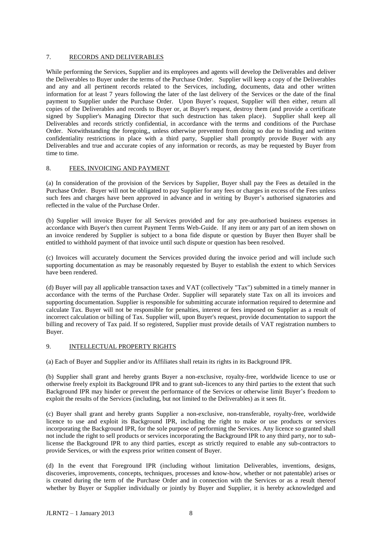#### 7. RECORDS AND DELIVERABLES

While performing the Services, Supplier and its employees and agents will develop the Deliverables and deliver the Deliverables to Buyer under the terms of the Purchase Order. Supplier will keep a copy of the Deliverables and any and all pertinent records related to the Services, including, documents, data and other written information for at least 7 years following the later of the last delivery of the Services or the date of the final payment to Supplier under the Purchase Order. Upon Buyer's request, Supplier will then either, return all copies of the Deliverables and records to Buyer or, at Buyer's request, destroy them (and provide a certificate signed by Supplier's Managing Director that such destruction has taken place). Supplier shall keep all Deliverables and records strictly confidential, in accordance with the terms and conditions of the Purchase Order. Notwithstanding the foregoing,, unless otherwise prevented from doing so due to binding and written confidentiality restrictions in place with a third party, Supplier shall promptly provide Buyer with any Deliverables and true and accurate copies of any information or records, as may be requested by Buyer from time to time.

#### 8. FEES, INVOICING AND PAYMENT

(a) In consideration of the provision of the Services by Supplier, Buyer shall pay the Fees as detailed in the Purchase Order. Buyer will not be obligated to pay Supplier for any fees or charges in excess of the Fees unless such fees and charges have been approved in advance and in writing by Buyer's authorised signatories and reflected in the value of the Purchase Order.

(b) Supplier will invoice Buyer for all Services provided and for any pre-authorised business expenses in accordance with Buyer's then current Payment Terms Web-Guide. If any item or any part of an item shown on an invoice rendered by Supplier is subject to a bona fide dispute or question by Buyer then Buyer shall be entitled to withhold payment of that invoice until such dispute or question has been resolved.

(c) Invoices will accurately document the Services provided during the invoice period and will include such supporting documentation as may be reasonably requested by Buyer to establish the extent to which Services have been rendered.

(d) Buyer will pay all applicable transaction taxes and VAT (collectively "Tax") submitted in a timely manner in accordance with the terms of the Purchase Order. Supplier will separately state Tax on all its invoices and supporting documentation. Supplier is responsible for submitting accurate information required to determine and calculate Tax. Buyer will not be responsible for penalties, interest or fees imposed on Supplier as a result of incorrect calculation or billing of Tax. Supplier will, upon Buyer's request, provide documentation to support the billing and recovery of Tax paid. If so registered, Supplier must provide details of VAT registration numbers to Buyer.

#### 9. INTELLECTUAL PROPERTY RIGHTS

(a) Each of Buyer and Supplier and/or its Affiliates shall retain its rights in its Background IPR.

(b) Supplier shall grant and hereby grants Buyer a non-exclusive, royalty-free, worldwide licence to use or otherwise freely exploit its Background IPR and to grant sub-licences to any third parties to the extent that such Background IPR may hinder or prevent the performance of the Services or otherwise limit Buyer's freedom to exploit the results of the Services (including, but not limited to the Deliverables) as it sees fit.

(c) Buyer shall grant and hereby grants Supplier a non-exclusive, non-transferable, royalty-free, worldwide licence to use and exploit its Background IPR, including the right to make or use products or services incorporating the Background IPR, for the sole purpose of performing the Services. Any licence so granted shall not include the right to sell products or services incorporating the Background IPR to any third party, nor to sublicense the Background IPR to any third parties, except as strictly required to enable any sub-contractors to provide Services, or with the express prior written consent of Buyer.

(d) In the event that Foreground IPR (including without limitation Deliverables, inventions, designs, discoveries, improvements, concepts, techniques, processes and know-how, whether or not patentable) arises or is created during the term of the Purchase Order and in connection with the Services or as a result thereof whether by Buyer or Supplier individually or jointly by Buyer and Supplier, it is hereby acknowledged and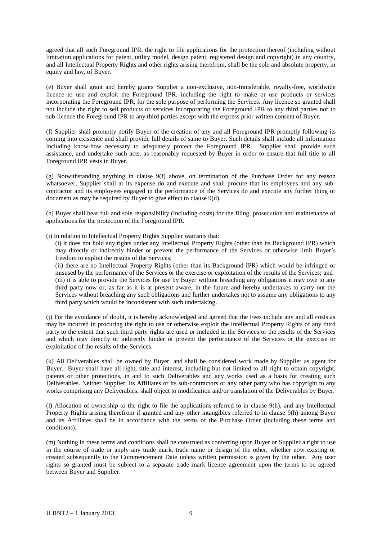agreed that all such Foreground IPR, the right to file applications for the protection thereof (including without limitation applications for patent, utility model, design patent, registered design and copyright) in any country, and all Intellectual Property Rights and other rights arising therefrom, shall be the sole and absolute property, in equity and law, of Buyer.

(e) Buyer shall grant and hereby grants Supplier a non-exclusive, non-transferable, royalty-free, worldwide licence to use and exploit the Foreground IPR, including the right to make or use products or services incorporating the Foreground IPR, for the sole purpose of performing the Services. Any licence so granted shall not include the right to sell products or services incorporating the Foreground IPR to any third parties nor to sub-licence the Foreground IPR to any third parties except with the express prior written consent of Buyer.

(f) Supplier shall promptly notify Buyer of the creation of any and all Foreground IPR promptly following its coming into existence and shall provide full details of same to Buyer. Such details shall include all information including know-how necessary to adequately protect the Foreground IPR. Supplier shall provide such assistance, and undertake such acts, as reasonably requested by Buyer in order to ensure that full title to all Foreground IPR vests in Buyer.

(g) Notwithstanding anything in clause 9(f) above, on termination of the Purchase Order for any reason whatsoever, Supplier shall at its expense do and execute and shall procure that its employees and any subcontractor and its employees engaged in the performance of the Services do and execute any further thing or document as may be required by Buyer to give effect to clause 9(d).

(h) Buyer shall bear full and sole responsibility (including costs) for the filing, prosecution and maintenance of applications for the protection of the Foreground IPR.

(i) In relation to Intellectual Property Rights Supplier warrants that:

(i) it does not hold any rights under any Intellectual Property Rights (other than its Background IPR) which may directly or indirectly hinder or prevent the performance of the Services or otherwise limit Buyer's freedom to exploit the results of the Services;

(ii) there are no Intellectual Property Rights (other than its Background IPR) which would be infringed or misused by the performance of the Services or the exercise or exploitation of the results of the Services; and (iii) it is able to provide the Services for use by Buyer without breaching any obligations it may owe to any third party now or, as far as it is at present aware, in the future and hereby undertakes to carry out the Services without breaching any such obligations and further undertakes not to assume any obligations to any third party which would be inconsistent with such undertaking.

(j) For the avoidance of doubt, it is hereby acknowledged and agreed that the Fees include any and all costs as may be incurred in procuring the right to use or otherwise exploit the Intellectual Property Rights of any third party to the extent that such third party rights are used or included in the Services or the results of the Services and which may directly or indirectly hinder or prevent the performance of the Services or the exercise or exploitation of the results of the Services.

(k) All Deliverables shall be owned by Buyer, and shall be considered work made by Supplier as agent for Buyer. Buyer shall have all right, title and interest, including but not limited to all right to obtain copyright, patents or other protections, in and to such Deliverables and any works used as a basis for creating such Deliverables. Neither Supplier, its Affiliates or its sub-contractors or any other party who has copyright to any works comprising any Deliverables, shall object to modification and/or translation of the Deliverables by Buyer.

(l) Allocation of ownership to the right to file the applications referred to in clause 9(h), and any Intellectual Property Rights arising therefrom if granted and any other intangibles referred to in clause 9(h) among Buyer and its Affiliates shall be in accordance with the terms of the Purchase Order (including these terms and conditions)*.*

(m) Nothing in these terms and conditions shall be construed as conferring upon Buyer or Supplier a right to use in the course of trade or apply any trade mark, trade name or design of the other, whether now existing or created subsequently to the Commencement Date unless written permission is given by the other. Any user rights so granted must be subject to a separate trade mark licence agreement upon the terms to be agreed between Buyer and Supplier.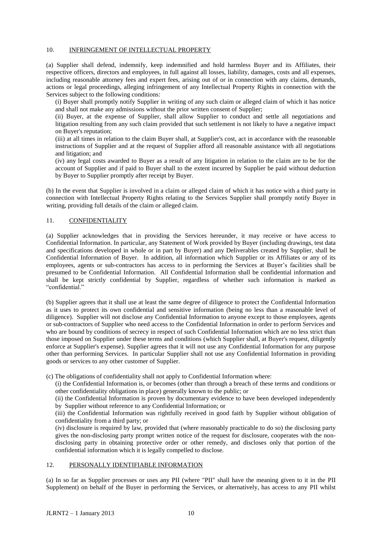#### 10. INFRINGEMENT OF INTELLECTUAL PROPERTY

(a) Supplier shall defend, indemnify, keep indemnified and hold harmless Buyer and its Affiliates, their respective officers, directors and employees, in full against all losses, liability, damages, costs and all expenses, including reasonable attorney fees and expert fees, arising out of or in connection with any claims, demands, actions or legal proceedings, alleging infringement of any Intellectual Property Rights in connection with the Services subject to the following conditions:

(i) Buyer shall promptly notify Supplier in writing of any such claim or alleged claim of which it has notice and shall not make any admissions without the prior written consent of Supplier;

(ii) Buyer, at the expense of Supplier, shall allow Supplier to conduct and settle all negotiations and litigation resulting from any such claim provided that such settlement is not likely to have a negative impact on Buyer's reputation;

(iii) at all times in relation to the claim Buyer shall, at Supplier's cost, act in accordance with the reasonable instructions of Supplier and at the request of Supplier afford all reasonable assistance with all negotiations and litigation; and

(iv) any legal costs awarded to Buyer as a result of any litigation in relation to the claim are to be for the account of Supplier and if paid to Buyer shall to the extent incurred by Supplier be paid without deduction by Buyer to Supplier promptly after receipt by Buyer.

(b) In the event that Supplier is involved in a claim or alleged claim of which it has notice with a third party in connection with Intellectual Property Rights relating to the Services Supplier shall promptly notify Buyer in writing, providing full details of the claim or alleged claim.

#### 11. CONFIDENTIALITY

(a) Supplier acknowledges that in providing the Services hereunder, it may receive or have access to Confidential Information. In particular, any Statement of Work provided by Buyer (including drawings, test data and specifications developed in whole or in part by Buyer) and any Deliverables created by Supplier, shall be Confidential Information of Buyer. In addition, all information which Supplier or its Affiliates or any of its employees, agents or sub-contractors has access to in performing the Services at Buyer's facilities shall be presumed to be Confidential Information. All Confidential Information shall be confidential information and shall be kept strictly confidential by Supplier, regardless of whether such information is marked as "confidential."

(b) Supplier agrees that it shall use at least the same degree of diligence to protect the Confidential Information as it uses to protect its own confidential and sensitive information (being no less than a reasonable level of diligence). Supplier will not disclose any Confidential Information to anyone except to those employees, agents or sub-contractors of Supplier who need access to the Confidential Information in order to perform Services and who are bound by conditions of secrecy in respect of such Confidential Information which are no less strict than those imposed on Supplier under these terms and conditions (which Supplier shall, at Buyer's request, diligently enforce at Supplier's expense). Supplier agrees that it will not use any Confidential Information for any purpose other than performing Services. In particular Supplier shall not use any Confidential Information in providing goods or services to any other customer of Supplier.

(c) The obligations of confidentiality shall not apply to Confidential Information where:

(i) the Confidential Information is, or becomes (other than through a breach of these terms and conditions or other confidentiality obligations in place) generally known to the public; or

(ii) the Confidential Information is proven by documentary evidence to have been developed independently by Supplier without reference to any Confidential Information; or

(iii) the Confidential Information was rightfully received in good faith by Supplier without obligation of confidentiality from a third party; or

(iv) disclosure is required by law, provided that (where reasonably practicable to do so) the disclosing party gives the non-disclosing party prompt written notice of the request for disclosure, cooperates with the nondisclosing party in obtaining protective order or other remedy, and discloses only that portion of the confidential information which it is legally compelled to disclose.

#### 12. PERSONALLY IDENTIFIABLE INFORMATION

(a) In so far as Supplier processes or uses any PII (where "PII" shall have the meaning given to it in the PII Supplement) on behalf of the Buyer in performing the Services, or alternatively, has access to any PII whilst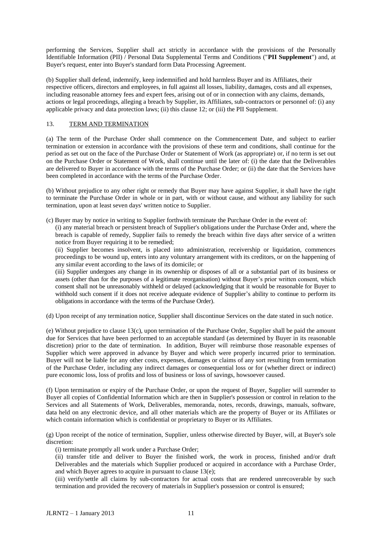performing the Services, Supplier shall act strictly in accordance with the provisions of the Personally Identifiable Information (PII) / Personal Data Supplemental Terms and Conditions ("**PII Supplement**") and, at Buyer's request, enter into Buyer's standard form Data Processing Agreement.

(b) Supplier shall defend, indemnify, keep indemnified and hold harmless Buyer and its Affiliates, their respective officers, directors and employees, in full against all losses, liability, damages, costs and all expenses, including reasonable attorney fees and expert fees, arising out of or in connection with any claims, demands, actions or legal proceedings, alleging a breach by Supplier, its Affiliates, sub-contractors or personnel of: (i) any applicable privacy and data protection laws; (ii) this clause 12; or (iii) the PII Supplement.

#### 13. TERM AND TERMINATION

(a) The term of the Purchase Order shall commence on the Commencement Date, and subject to earlier termination or extension in accordance with the provisions of these term and conditions, shall continue for the period as set out on the face of the Purchase Order or Statement of Work (as appropriate) or, if no term is set out on the Purchase Order or Statement of Work, shall continue until the later of: (i) the date that the Deliverables are delivered to Buyer in accordance with the terms of the Purchase Order; or (ii) the date that the Services have been completed in accordance with the terms of the Purchase Order.

(b) Without prejudice to any other right or remedy that Buyer may have against Supplier, it shall have the right to terminate the Purchase Order in whole or in part, with or without cause, and without any liability for such termination, upon at least seven days' written notice to Supplier.

(c) Buyer may by notice in writing to Supplier forthwith terminate the Purchase Order in the event of:

(i) any material breach or persistent breach of Supplier's obligations under the Purchase Order and, where the breach is capable of remedy, Supplier fails to remedy the breach within five days after service of a written notice from Buyer requiring it to be remedied;

(ii) Supplier becomes insolvent, is placed into administration, receivership or liquidation, commences proceedings to be wound up, enters into any voluntary arrangement with its creditors, or on the happening of any similar event according to the laws of its domicile; or

(iii) Supplier undergoes any change in its ownership or disposes of all or a substantial part of its business or assets (other than for the purposes of a legitimate reorganisation) without Buyer's prior written consent, which consent shall not be unreasonably withheld or delayed (acknowledging that it would be reasonable for Buyer to withhold such consent if it does not receive adequate evidence of Supplier's ability to continue to perform its obligations in accordance with the terms of the Purchase Order).

(d) Upon receipt of any termination notice, Supplier shall discontinue Services on the date stated in such notice.

(e) Without prejudice to clause 13(c), upon termination of the Purchase Order, Supplier shall be paid the amount due for Services that have been performed to an acceptable standard (as determined by Buyer in its reasonable discretion) prior to the date of termination. In addition, Buyer will reimburse those reasonable expenses of Supplier which were approved in advance by Buyer and which were properly incurred prior to termination. Buyer will not be liable for any other costs, expenses, damages or claims of any sort resulting from termination of the Purchase Order, including any indirect damages or consequential loss or for (whether direct or indirect) pure economic loss, loss of profits and loss of business or loss of savings, howsoever caused.

(f) Upon termination or expiry of the Purchase Order, or upon the request of Buyer, Supplier will surrender to Buyer all copies of Confidential Information which are then in Supplier's possession or control in relation to the Services and all Statements of Work, Deliverables, memoranda, notes, records, drawings, manuals, software, data held on any electronic device, and all other materials which are the property of Buyer or its Affiliates or which contain information which is confidential or proprietary to Buyer or its Affiliates.

(g) Upon receipt of the notice of termination, Supplier, unless otherwise directed by Buyer, will, at Buyer's sole discretion:

(i) terminate promptly all work under a Purchase Order;

(ii) transfer title and deliver to Buyer the finished work, the work in process, finished and/or draft Deliverables and the materials which Supplier produced or acquired in accordance with a Purchase Order, and which Buyer agrees to acquire in pursuant to clause 13(e);

(iii) verify/settle all claims by sub-contractors for actual costs that are rendered unrecoverable by such termination and provided the recovery of materials in Supplier's possession or control is ensured;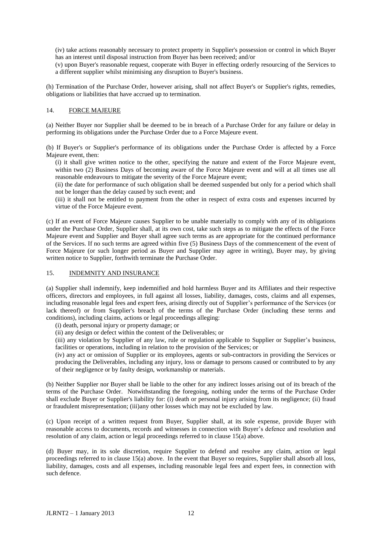(iv) take actions reasonably necessary to protect property in Supplier's possession or control in which Buyer has an interest until disposal instruction from Buyer has been received; and/or

(v) upon Buyer's reasonable request, cooperate with Buyer in effecting orderly resourcing of the Services to a different supplier whilst minimising any disruption to Buyer's business.

(h) Termination of the Purchase Order, however arising, shall not affect Buyer's or Supplier's rights, remedies, obligations or liabilities that have accrued up to termination.

#### 14. FORCE MAJEURE

(a) Neither Buyer nor Supplier shall be deemed to be in breach of a Purchase Order for any failure or delay in performing its obligations under the Purchase Order due to a Force Majeure event.

(b) If Buyer's or Supplier's performance of its obligations under the Purchase Order is affected by a Force Majeure event, then:

(i) it shall give written notice to the other, specifying the nature and extent of the Force Majeure event, within two (2) Business Days of becoming aware of the Force Majeure event and will at all times use all reasonable endeavours to mitigate the severity of the Force Majeure event;

(ii) the date for performance of such obligation shall be deemed suspended but only for a period which shall not be longer than the delay caused by such event; and

(iii) it shall not be entitled to payment from the other in respect of extra costs and expenses incurred by virtue of the Force Majeure event.

(c) If an event of Force Majeure causes Supplier to be unable materially to comply with any of its obligations under the Purchase Order, Supplier shall, at its own cost, take such steps as to mitigate the effects of the Force Majeure event and Supplier and Buyer shall agree such terms as are appropriate for the continued performance of the Services. If no such terms are agreed within five (5) Business Days of the commencement of the event of Force Majeure (or such longer period as Buyer and Supplier may agree in writing), Buyer may, by giving written notice to Supplier, forthwith terminate the Purchase Order.

#### 15. INDEMNITY AND INSURANCE

(a) Supplier shall indemnify, keep indemnified and hold harmless Buyer and its Affiliates and their respective officers, directors and employees, in full against all losses, liability, damages, costs, claims and all expenses, including reasonable legal fees and expert fees, arising directly out of Supplier's performance of the Services (or lack thereof) or from Supplier's breach of the terms of the Purchase Order (including these terms and conditions), including claims, actions or legal proceedings alleging:

(i) death, personal injury or property damage; or

(ii) any design or defect within the content of the Deliverables; or

(iii) any violation by Supplier of any law, rule or regulation applicable to Supplier or Supplier's business, facilities or operations, including in relation to the provision of the Services; or

(iv) any act or omission of Supplier or its employees, agents or sub-contractors in providing the Services or producing the Deliverables, including any injury, loss or damage to persons caused or contributed to by any of their negligence or by faulty design, workmanship or materials.

(b) Neither Supplier nor Buyer shall be liable to the other for any indirect losses arising out of its breach of the terms of the Purchase Order. Notwithstanding the foregoing, nothing under the terms of the Purchase Order shall exclude Buyer or Supplier's liability for: (i) death or personal injury arising from its negligence; (ii) fraud or fraudulent misrepresentation; (iii)any other losses which may not be excluded by law.

(c) Upon receipt of a written request from Buyer, Supplier shall, at its sole expense, provide Buyer with reasonable access to documents, records and witnesses in connection with Buyer's defence and resolution and resolution of any claim, action or legal proceedings referred to in clause 15(a) above.

(d) Buyer may, in its sole discretion, require Supplier to defend and resolve any claim, action or legal proceedings referred to in clause 15(a) above. In the event that Buyer so requires, Supplier shall absorb all loss, liability, damages, costs and all expenses, including reasonable legal fees and expert fees, in connection with such defence.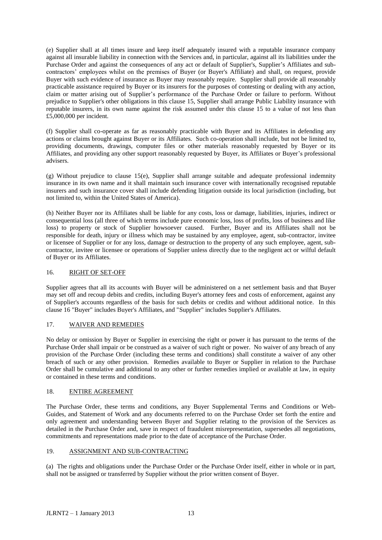(e) Supplier shall at all times insure and keep itself adequately insured with a reputable insurance company against all insurable liability in connection with the Services and, in particular, against all its liabilities under the Purchase Order and against the consequences of any act or default of Supplier's, Supplier's Affiliates and subcontractors' employees whilst on the premises of Buyer (or Buyer's Affiliate) and shall, on request, provide Buyer with such evidence of insurance as Buyer may reasonably require. Supplier shall provide all reasonably practicable assistance required by Buyer or its insurers for the purposes of contesting or dealing with any action, claim or matter arising out of Supplier's performance of the Purchase Order or failure to perform. Without prejudice to Supplier's other obligations in this clause 15, Supplier shall arrange Public Liability insurance with reputable insurers, in its own name against the risk assumed under this clause 15 to a value of not less than  $\overline{£5,000,000}$  per incident.

(f) Supplier shall co-operate as far as reasonably practicable with Buyer and its Affiliates in defending any actions or claims brought against Buyer or its Affiliates. Such co-operation shall include, but not be limited to, providing documents, drawings, computer files or other materials reasonably requested by Buyer or its Affiliates, and providing any other support reasonably requested by Buyer, its Affiliates or Buyer's professional advisers.

(g) Without prejudice to clause  $15(e)$ , Supplier shall arrange suitable and adequate professional indemnity insurance in its own name and it shall maintain such insurance cover with internationally recognised reputable insurers and such insurance cover shall include defending litigation outside its local jurisdiction (including, but not limited to, within the United States of America).

(h) Neither Buyer nor its Affiliates shall be liable for any costs, loss or damage, liabilities, injuries, indirect or consequential loss (all three of which terms include pure economic loss, loss of profits, loss of business and like loss) to property or stock of Supplier howsoever caused. Further, Buyer and its Affiliates shall not be responsible for death, injury or illness which may be sustained by any employee, agent, sub-contractor, invitee or licensee of Supplier or for any loss, damage or destruction to the property of any such employee, agent, subcontractor, invitee or licensee or operations of Supplier unless directly due to the negligent act or wilful default of Buyer or its Affiliates.

#### 16. RIGHT OF SET-OFF

Supplier agrees that all its accounts with Buyer will be administered on a net settlement basis and that Buyer may set off and recoup debits and credits, including Buyer's attorney fees and costs of enforcement, against any of Supplier's accounts regardless of the basis for such debits or credits and without additional notice. In this clause 16 "Buyer" includes Buyer's Affiliates, and "Supplier" includes Supplier's Affiliates.

#### 17. WAIVER AND REMEDIES

No delay or omission by Buyer or Supplier in exercising the right or power it has pursuant to the terms of the Purchase Order shall impair or be construed as a waiver of such right or power. No waiver of any breach of any provision of the Purchase Order (including these terms and conditions) shall constitute a waiver of any other breach of such or any other provision. Remedies available to Buyer or Supplier in relation to the Purchase Order shall be cumulative and additional to any other or further remedies implied or available at law, in equity or contained in these terms and conditions.

#### 18. ENTIRE AGREEMENT

The Purchase Order, these terms and conditions, any Buyer Supplemental Terms and Conditions or Web-Guides, and Statement of Work and any documents referred to on the Purchase Order set forth the entire and only agreement and understanding between Buyer and Supplier relating to the provision of the Services as detailed in the Purchase Order and, save in respect of fraudulent misrepresentation, supersedes all negotiations, commitments and representations made prior to the date of acceptance of the Purchase Order.

#### 19. ASSIGNMENT AND SUB-CONTRACTING

(a) The rights and obligations under the Purchase Order or the Purchase Order itself, either in whole or in part, shall not be assigned or transferred by Supplier without the prior written consent of Buyer.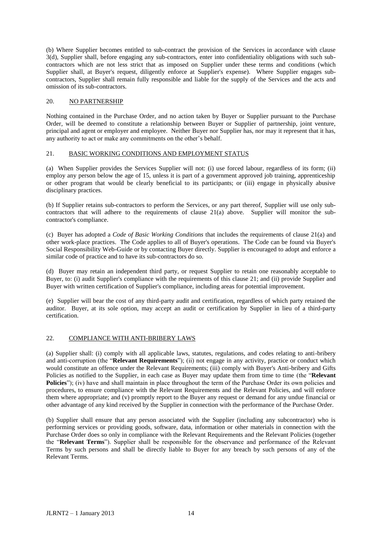(b) Where Supplier becomes entitled to sub-contract the provision of the Services in accordance with clause 3(d), Supplier shall, before engaging any sub-contractors, enter into confidentiality obligations with such subcontractors which are not less strict that as imposed on Supplier under these terms and conditions (which Supplier shall, at Buyer's request, diligently enforce at Supplier's expense). Where Supplier engages subcontractors, Supplier shall remain fully responsible and liable for the supply of the Services and the acts and omission of its sub-contractors.

#### 20. NO PARTNERSHIP

Nothing contained in the Purchase Order, and no action taken by Buyer or Supplier pursuant to the Purchase Order, will be deemed to constitute a relationship between Buyer or Supplier of partnership, joint venture, principal and agent or employer and employee. Neither Buyer nor Supplier has, nor may it represent that it has, any authority to act or make any commitments on the other's behalf.

#### 21. BASIC WORKING CONDITIONS AND EMPLOYMENT STATUS

(a) When Supplier provides the Services Supplier will not: (i) use forced labour, regardless of its form; (ii) employ any person below the age of 15, unless it is part of a government approved job training, apprenticeship or other program that would be clearly beneficial to its participants; or (iii) engage in physically abusive disciplinary practices.

(b) If Supplier retains sub-contractors to perform the Services, or any part thereof, Supplier will use only subcontractors that will adhere to the requirements of clause 21(a) above. Supplier will monitor the subcontractor's compliance.

(c) Buyer has adopted a *Code of Basic Working Conditions* that includes the requirements of clause 21(a) and other work-place practices. The Code applies to all of Buyer's operations. The Code can be found via Buyer's Social Responsibility Web-Guide or by contacting Buyer directly. Supplier is encouraged to adopt and enforce a similar code of practice and to have its sub-contractors do so.

(d) Buyer may retain an independent third party, or request Supplier to retain one reasonably acceptable to Buyer, to: (i) audit Supplier's compliance with the requirements of this clause 21; and (ii) provide Supplier and Buyer with written certification of Supplier's compliance, including areas for potential improvement.

(e) Supplier will bear the cost of any third-party audit and certification, regardless of which party retained the auditor. Buyer, at its sole option, may accept an audit or certification by Supplier in lieu of a third-party certification.

#### 22. COMPLIANCE WITH ANTI-BRIBERY LAWS

(a) Supplier shall: (i) comply with all applicable laws, statutes, regulations, and codes relating to anti-bribery and anti-corruption (the "**Relevant Requirements**"); (ii) not engage in any activity, practice or conduct which would constitute an offence under the Relevant Requirements; (iii) comply with Buyer's Anti-bribery and Gifts Policies as notified to the Supplier, in each case as Buyer may update them from time to time (the "**Relevant Policies**"); (iv) have and shall maintain in place throughout the term of the Purchase Order its own policies and procedures, to ensure compliance with the Relevant Requirements and the Relevant Policies, and will enforce them where appropriate; and (v) promptly report to the Buyer any request or demand for any undue financial or other advantage of any kind received by the Supplier in connection with the performance of the Purchase Order.

(b) Supplier shall ensure that any person associated with the Supplier (including any subcontractor) who is performing services or providing goods, software, data, information or other materials in connection with the Purchase Order does so only in compliance with the Relevant Requirements and the Relevant Policies (together the "**Relevant Terms**"). Supplier shall be responsible for the observance and performance of the Relevant Terms by such persons and shall be directly liable to Buyer for any breach by such persons of any of the Relevant Terms.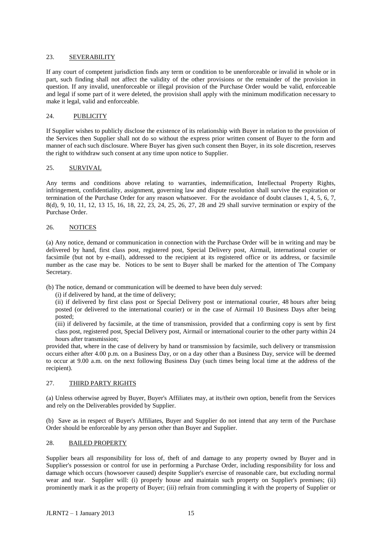#### 23. SEVERABILITY

If any court of competent jurisdiction finds any term or condition to be unenforceable or invalid in whole or in part, such finding shall not affect the validity of the other provisions or the remainder of the provision in question. If any invalid, unenforceable or illegal provision of the Purchase Order would be valid, enforceable and legal if some part of it were deleted, the provision shall apply with the minimum modification necessary to make it legal, valid and enforceable.

#### 24. PUBLICITY

If Supplier wishes to publicly disclose the existence of its relationship with Buyer in relation to the provision of the Services then Supplier shall not do so without the express prior written consent of Buyer to the form and manner of each such disclosure. Where Buyer has given such consent then Buyer, in its sole discretion, reserves the right to withdraw such consent at any time upon notice to Supplier.

#### 25. SURVIVAL

Any terms and conditions above relating to warranties, indemnification, Intellectual Property Rights, infringement, confidentiality, assignment, governing law and dispute resolution shall survive the expiration or termination of the Purchase Order for any reason whatsoever. For the avoidance of doubt clauses 1, 4, 5, 6, 7, 8(d), 9, 10, 11, 12, 13 15, 16, 18, 22, 23, 24, 25, 26, 27, 28 and 29 shall survive termination or expiry of the Purchase Order.

#### 26. NOTICES

(a) Any notice, demand or communication in connection with the Purchase Order will be in writing and may be delivered by hand, first class post, registered post, Special Delivery post, Airmail, international courier or facsimile (but not by e-mail), addressed to the recipient at its registered office or its address, or facsimile number as the case may be. Notices to be sent to Buyer shall be marked for the attention of The Company Secretary.

(b) The notice, demand or communication will be deemed to have been duly served:

(i) if delivered by hand, at the time of delivery;

(ii) if delivered by first class post or Special Delivery post or international courier, 48 hours after being posted (or delivered to the international courier) or in the case of Airmail 10 Business Days after being posted;

(iii) if delivered by facsimile, at the time of transmission, provided that a confirming copy is sent by first class post, registered post, Special Delivery post, Airmail or international courier to the other party within 24 hours after transmission;

provided that, where in the case of delivery by hand or transmission by facsimile, such delivery or transmission occurs either after 4.00 p.m. on a Business Day, or on a day other than a Business Day, service will be deemed to occur at 9.00 a.m. on the next following Business Day (such times being local time at the address of the recipient).

#### 27. THIRD PARTY RIGHTS

(a) Unless otherwise agreed by Buyer, Buyer's Affiliates may, at its/their own option, benefit from the Services and rely on the Deliverables provided by Supplier.

(b) Save as in respect of Buyer's Affiliates, Buyer and Supplier do not intend that any term of the Purchase Order should be enforceable by any person other than Buyer and Supplier.

#### 28. BAILED PROPERTY

Supplier bears all responsibility for loss of, theft of and damage to any property owned by Buyer and in Supplier's possession or control for use in performing a Purchase Order, including responsibility for loss and damage which occurs (howsoever caused) despite Supplier's exercise of reasonable care, but excluding normal wear and tear. Supplier will: (i) properly house and maintain such property on Supplier's premises; (ii) prominently mark it as the property of Buyer; (iii) refrain from commingling it with the property of Supplier or